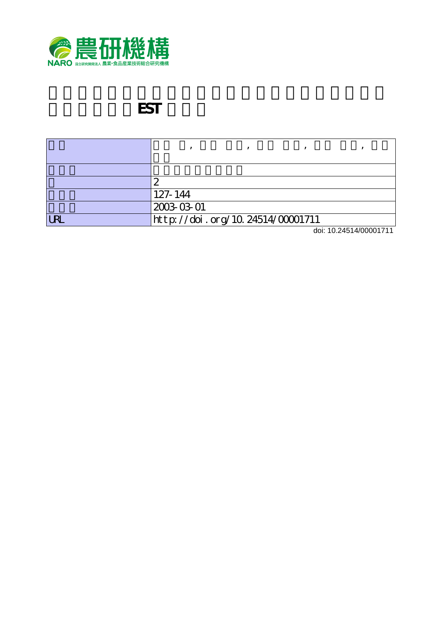

# **EST**

| ∼                                |
|----------------------------------|
| 127-144                          |
| 2003-03-01                       |
| http://doi.org/10.24514/00001711 |

doi: 10.24514/00001711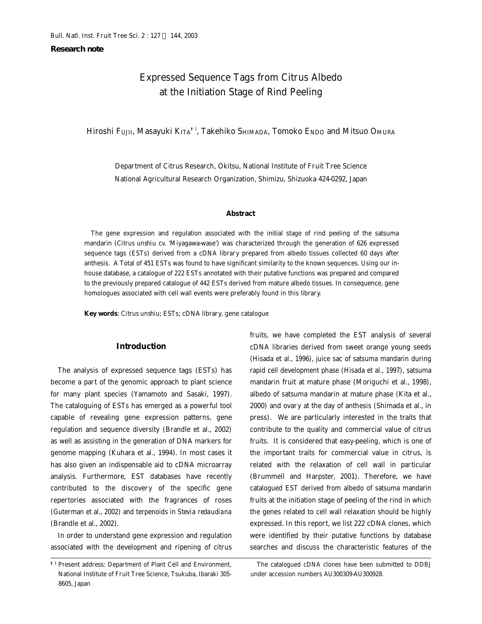**Research note**

# Expressed Sequence Tags from Citrus Albedo at the Initiation Stage of Rind Peeling

Hiroshi FUJII, Masayuki KITA**†**<sup>1</sup> , Takehiko SHIMADA, Tomoko ENDO and Mitsuo OMURA

Department of Citrus Research, Okitsu, National Institute of Fruit Tree Science National Agricultural Research Organization, Shimizu, Shizuoka 424-0292, Japan

#### **Abstract**

The gene expression and regulation associated with the initial stage of rind peeling of the satsuma mandarin (*Citrus unshiu* cv. 'Miyagawa-wase') was characterized through the generation of 626 expressed sequence tags (ESTs) derived from a cDNA library prepared from albedo tissues collected 60 days after anthesis. A Total of 451 ESTs was found to have significant similarity to the known sequences. Using our inhouse database, a catalogue of 222 ESTs annotated with their putative functions was prepared and compared to the previously prepared catalogue of 442 ESTs derived from mature albedo tissues. In consequence, gene homologues associated with cell wall events were preferably found in this library.

**Key words**: *Citrus unshiu*; ESTs; cDNA library, gene catalogue

# **Introduction**

The analysis of expressed sequence tags (ESTs) has become a part of the genomic approach to plant science for many plant species (Yamamoto and Sasaki, 1997). The cataloguing of ESTs has emerged as a powerful tool capable of revealing gene expression patterns, gene regulation and sequence diversity (Brandle et al., 2002) as well as assisting in the generation of DNA markers for genome mapping (Kuhara et al., 1994). In most cases it has also given an indispensable aid to cDNA microarray analysis. Furthermore, EST databases have recently contributed to the discovery of the specific gene repertories associated with the fragrances of roses (Guterman et al., 2002) and terpenoids in *Stevia redaudiana* (Brandle et al., 2002).

In order to understand gene expression and regulation associated with the development and ripening of citrus

fruits, we have completed the EST analysis of several cDNA libraries derived from sweet orange young seeds (Hisada et al., 1996), juice sac of satsuma mandarin during rapid cell development phase (Hisada et al., 1997), satsuma mandarin fruit at mature phase (Moriguchi et al., 1998), albedo of satsuma mandarin at mature phase (Kita et al., 2000) and ovary at the day of anthesis (Shimada et al., in press). We are particularly interested in the traits that contribute to the quality and commercial value of citrus fruits. It is considered that easy-peeling, which is one of the important traits for commercial value in citrus, is related with the relaxation of cell wall in particular (Brummell and Harpster, 2001). Therefore, we have catalogued EST derived from albedo of satsuma mandarin fruits at the initiation stage of peeling of the rind in which the genes related to cell wall relaxation should be highly expressed. In this report, we list 222 cDNA clones, which were identified by their putative functions by database searches and discuss the characteristic features of the

**<sup>†</sup>**1 Present address: Department of Plant Cell and Environment, National Institute of Fruit Tree Science, Tsukuba, Ibaraki 305- 8605, Japan

The catalogued cDNA clones have been submitted to DDBJ under accession numbers AU300309-AU300928.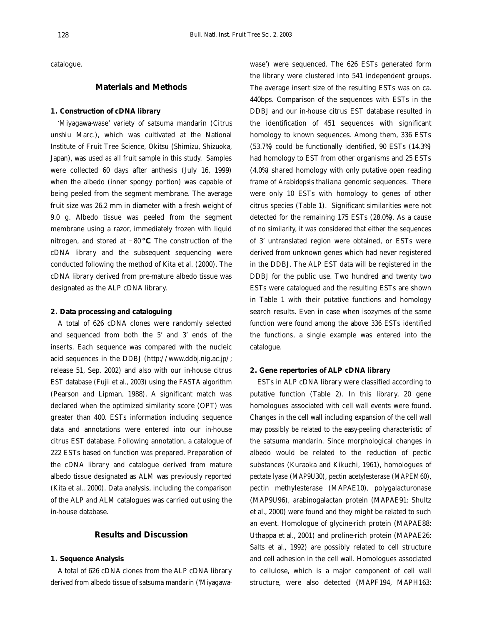catalogue.

# **Materials and Methods**

# **1. Construction of cDNA library**

'Miyagawa-wase' variety of satsuma mandarin (*Citrus unshiu* Marc.), which was cultivated at the National Institute of Fruit Tree Science, Okitsu (Shimizu, Shizuoka, Japan), was used as all fruit sample in this study. Samples were collected 60 days after anthesis (July 16, 1999) when the albedo (inner spongy portion) was capable of being peeled from the segment membrane. The average fruit size was 26.2 mm in diameter with a fresh weight of 9.0 g. Albedo tissue was peeled from the segment membrane using a razor, immediately frozen with liquid nitrogen, and stored at  $-80$ . The construction of the cDNA library and the subsequent sequencing were conducted following the method of Kita et al. (2000). The cDNA library derived from pre-mature albedo tissue was designated as the ALP cDNA library.

## **2. Data processing and cataloguing**

A total of 626 cDNA clones were randomly selected and sequenced from both the 5' and 3' ends of the inserts. Each sequence was compared with the nucleic acid sequences in the DDBJ (http://www.ddbj.nig.ac.jp/; release 51, Sep. 2002) and also with our in-house citrus EST database (Fujii et al., 2003) using the FASTA algorithm (Pearson and Lipman, 1988). A significant match was declared when the optimized similarity score (OPT) was greater than 400. ESTs information including sequence data and annotations were entered into our in-house citrus EST database. Following annotation, a catalogue of 222 ESTs based on function was prepared. Preparation of the cDNA library and catalogue derived from mature albedo tissue designated as ALM was previously reported (Kita et al., 2000). Data analysis, including the comparison of the ALP and ALM catalogues was carried out using the in-house database.

# **Results and Discussion**

## **1. Sequence Analysis**

A total of 626 cDNA clones from the ALP cDNA library derived from albedo tissue of satsuma mandarin ('Miyagawawase') were sequenced. The 626 ESTs generated form the library were clustered into 541 independent groups. The average insert size of the resulting ESTs was on ca. 440bps. Comparison of the sequences with ESTs in the DDBJ and our in-house citrus EST database resulted in the identification of 451 sequences with significant homology to known sequences. Among them, 336 ESTs (53.7%) could be functionally identified, 90 ESTs (14.3%) had homology to EST from other organisms and 25 ESTs (4.0%) shared homology with only putative open reading frame of *Arabidopsis thaliana* genomic sequences. There were only 10 ESTs with homology to genes of other citrus species (Table 1). Significant similarities were not detected for the remaining 175 ESTs (28.0%). As a cause of no similarity, it was considered that either the sequences of 3' untranslated region were obtained, or ESTs were derived from unknown genes which had never registered in the DDBJ. The ALP EST data will be registered in the DDBJ for the public use. Two hundred and twenty two ESTs were catalogued and the resulting ESTs are shown in Table 1 with their putative functions and homology search results. Even in case when isozymes of the same function were found among the above 336 ESTs identified the functions, a single example was entered into the catalogue.

#### **2. Gene repertories of ALP cDNA library**

ESTs in ALP cDNA library were classified according to putative function (Table 2). In this library, 20 gene homologues associated with cell wall events were found. Changes in the cell wall including expansion of the cell wall may possibly be related to the easy-peeling characteristic of the satsuma mandarin. Since morphological changes in albedo would be related to the reduction of pectic substances (Kuraoka and Kikuchi, 1961), homologues of pectate lyase (MAP9U30), pectin acetylesterase (MAPEM60), pectin methylesterase (MAPAE10), polygalacturonase (MAP9U96), arabinogalactan protein (MAPAE91: Shultz et al., 2000) were found and they might be related to such an event. Homologue of glycine-rich protein (MAPAE88: Uthappa et al., 2001) and proline-rich protein (MAPAE26: Salts et al., 1992) are possibly related to cell structure and cell adhesion in the cell wall. Homologues associated to cellulose, which is a major component of cell wall structure, were also detected (MAPF194, MAPH163: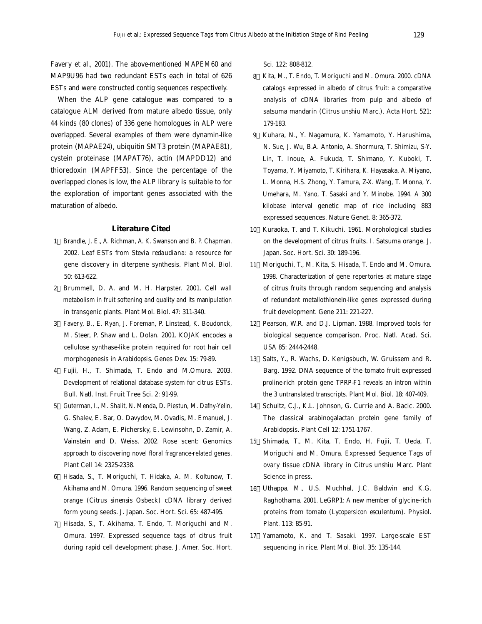Favery et al., 2001). The above-mentioned MAPEM60 and MAP9U96 had two redundant ESTs each in total of 626 ESTs and were constructed contig sequences respectively.

When the ALP gene catalogue was compared to a catalogue ALM derived from mature albedo tissue, only 44 kinds (80 clones) of 336 gene homologues in ALP were overlapped. Several examples of them were dynamin-like protein (MAPAE24), ubiquitin SMT3 protein (MAPAE81), cystein proteinase (MAPAT76), actin (MAPDD12) and thioredoxin (MAPFF53). Since the percentage of the overlapped clones is low, the ALP library is suitable to for the exploration of important genes associated with the maturation of albedo.

### **Literature Cited**

- 1 Brandle, J. E., A. Richman, A. K. Swanson and B. P. Chapman. 2002. Leaf ESTs from *Stevia redaudiana*: a resource for gene discovery in diterpene synthesis. Plant Mol. Biol. 50: 613-622.
- 2 Brummell, D. A. and M. H. Harpster. 2001. Cell wall metabolism in fruit softening and quality and its manipulation in transgenic plants. Plant Mol. Biol. 47: 311-340.
- 3 Favery, B., E. Ryan, J. Foreman, P. Linstead, K. Boudonck, M. Steer, P. Shaw and L. Dolan. 2001. *KOJAK* encodes a cellulose synthase-like protein required for root hair cell morphogenesis in *Arabidopsis*. Genes Dev. 15: 79-89.
- 4 Fujii, H., T. Shimada, T. Endo and M.Omura. 2003. Development of relational database system for citrus ESTs. Bull. Natl. Inst. Fruit Tree Sci. 2: 91-99.
- 5 Guterman, I., M. Shalit, N. Menda, D. Piestun, M. Dafny-Yelin, G. Shalev, E. Bar, O. Davydov, M. Ovadis, M. Emanuel, J. Wang, Z. Adam, E. Pichersky, E. Lewinsohn, D. Zamir, A. Vainstein and D. Weiss. 2002. Rose scent: Genomics approach to discovering novel floral fragrance-related genes. Plant Cell 14: 2325-2338.
- 6 Hisada, S., T. Moriguchi, T. Hidaka, A. M. Koltunow, T. Akihama and M. Omura. 1996. Random sequencing of sweet orange (*Citrus sinensis* Osbeck) cDNA library derived form young seeds. J. Japan. Soc. Hort. Sci. 65: 487-495.
- 7 Hisada, S., T. Akihama, T. Endo, T. Moriguchi and M. Omura. 1997. Expressed sequence tags of citrus fruit during rapid cell development phase. J. Amer. Soc. Hort.

Sci. 122: 808-812.

- 8 Kita, M., T. Endo, T. Moriguchi and M. Omura. 2000. cDNA catalogs expressed in albedo of citrus fruit: a comparative analysis of cDNA libraries from pulp and albedo of satsuma mandarin (*Citrus unshiu* Marc.). Acta Hort. 521: 179-183.
- 9 Kuhara, N., Y. Nagamura, K. Yamamoto, Y. Harushima, N. Sue, J. Wu, B.A. Antonio, A. Shormura, T. Shimizu, S-Y. Lin, T. Inoue, A. Fukuda, T. Shimano, Y. Kuboki, T. Toyama, Y. Miyamoto, T. Kirihara, K. Hayasaka, A. Miyano, L. Monna, H.S. Zhong, Y. Tamura, Z-X. Wang, T. Monna, Y. Umehara, M. Yano, T. Sasaki and Y. Minobe. 1994. A 300 kilobase interval genetic map of rice including 883 expressed sequences. Nature Genet. 8: 365-372.
- 10 Kuraoka, T. and T. Kikuchi. 1961. Morphological studies on the development of citrus fruits. I. Satsuma orange. J. Japan. Soc. Hort. Sci. 30: 189-196.
- 11 Moriguchi, T., M. Kita, S. Hisada, T. Endo and M. Omura. 1998. Characterization of gene repertories at mature stage of citrus fruits through random sequencing and analysis of redundant metallothionein-like genes expressed during fruit development. Gene 211: 221-227.
- 12 Pearson, W.R. and D.J. Lipman. 1988. Improved tools for biological sequence comparison. Proc. Natl. Acad. Sci. USA 85: 2444-2448.
- 13 Salts, Y., R. Wachs, D. Kenigsbuch, W. Gruissem and R. Barg. 1992. DNA sequence of the tomato fruit expressed proline-rich protein gene TPRP-F1 reveals an intron within the 3 untranslated transcripts. Plant Mol. Biol. 18: 407-409.
- 14 Schultz, C.J., K.L. Johnson, G. Currie and A. Bacic. 2000. The classical arabinogalactan protein gene family of Arabidopsis. Plant Cell 12: 1751-1767.
- 15 Shimada, T., M. Kita, T. Endo, H. Fujii, T. Ueda, T. Moriguchi and M. Omura. Expressed Sequence Tags of ovary tissue cDNA library in *Citrus unshiu* Marc. Plant Science in press.
- 16 Uthappa, M., U.S. Muchhal, J.C. Baldwin and K.G. Raghothama. 2001. LeGRP1: A new member of glycine-rich proteins from tomato (*Lycopersicon esculentum*). Physiol. Plant. 113: 85-91.
- 17 Yamamoto, K. and T. Sasaki. 1997. Large-scale EST sequencing in rice. Plant Mol. Biol. 35: 135-144.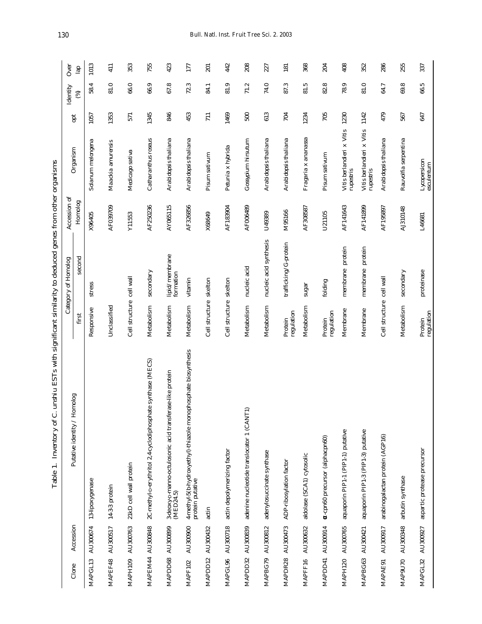| Clone               | Accession | omolog<br>Putative identity / Ho                                                   |                          | Category of Homolog         | Accession of | Organism                               | opt  | Identity | Over             |
|---------------------|-----------|------------------------------------------------------------------------------------|--------------------------|-----------------------------|--------------|----------------------------------------|------|----------|------------------|
|                     |           |                                                                                    | first                    | second                      | Homolog      |                                        |      | ම        | $\frac{1}{2}$    |
| MAPGL13             | AU300674  | 13-lipoxygenase                                                                    | Responsive               | stress                      | X96405       | Solanum melongena                      | 1057 | 58.4     | 1013             |
| MAPEF48             | AU300517  | 14-3-3 protein                                                                     | Unclassified             |                             | AF039709     | Maackia amurensis                      | 1353 | 81.0     | 411              |
| MAPH109             | AU300763  | 21kD cell wall protein                                                             | Cell structure cell wall |                             | Y11553       | Medicago sativa                        | 571  | 66.0     | 353              |
| MAPEM44             | AU300848  | 2C-methyl-p-erythritol 2,4-cyclodiphosphate synthase (MECS)                        | Metabolism               | secondary                   | AF250236     | Catharanthus roseus                    | 1345 | 66.9     | 755              |
| MAPDD68             | AU300899  | 3-deoxy-p-manno-octulosonic acid transferase-like protein<br>(MED24.5)             | Metabolism               | lipid/membrane<br>formation | AY065115     | Arabidopsis thaliana                   | 846  | 67.8     | 423              |
| MAPF102             | AU300900  | 4-methyl-5(b-hydroxyethyl)-thiazole monophosphate biosynthesis<br>protein putative | Metabolism               | vitamin                     | AF326856     | Arabidopsis thaliana                   | 453  | 72.3     | 177              |
| MAPDD12             | AU300432  | actin                                                                              | Cell structure skelton   |                             | X68649       | Pisum sativum                          | 711  | 84.1     | 201              |
| MAPGL96             | AU300718  | actin depolymerizing factor                                                        | Cell structure skelton   |                             | AF183904     | Petunia x hybrida                      | 1469 | 81.9     | 442              |
| MAPDD32             | AU300839  | $\overline{\phantom{0}}$<br>adenine nucleotide translocator 1 (CANT                | Metabolism               | nucleic acid                | AF006489     | Gossypium hirsutum                     | 500  | 71.2     | 208              |
| MAPBG79             | AU300812  | adenylosuccinate synthase                                                          | Metabolism               | nucleic acid synthesis      | U49389       | Arabidopsis thaliana                   | 613  | 74.0     | 227              |
| MAPDR28             | AU300473  | ADP-ribosylation factor                                                            | regulation<br>Protein    | trafficking/G-protein       | M95166       | Arabidopsis thaliana                   | 704  | 87.3     | $\overline{181}$ |
| MAPFF16             | AU300632  | aldolase (SCA1) cytosolic                                                          | Metabolism               | $s$ ugar                    | AF308587     | Fragaria x ananassa                    | 1234 | 81.5     | 368              |
| MAPDD41             | AU300914  | -cpn60 precursor (alphacpn60)                                                      | regulation<br>Protein    | folding                     | U21105       | Pisum sativum                          | 705  | 82.8     | 204              |
| MAPH120             | AU300765  | aquaporin PIP1-1 (PIP1-1) putative                                                 | Membrane                 | membrane protein            | AF141643     | Vitis berlandieri x Vitis<br>rupestris | 1230 | 78.9     | 408              |
| MAPBG63             | AU300421  | aquaporin PIP1-3 (PIP1-3) putative                                                 | Membrane                 | membrane protein            | AF141899     | Vitis berlandieri x Vitis<br>rupestris | 1142 | 81.0     | 352              |
| MAPAE91             | AU300917  | arabinogalactan protein (AGP16)                                                    | Cell structure cell wall |                             | AF195897     | Arabidopsis thaliana                   | 479  | 64.7     | 286              |
| MAP <sub>9U70</sub> | AU300348  | arbutin synthase                                                                   | Metabolism               | secondary                   | AJ310148     | Rauvolfia serpentina                   | 567  | 69.8     | 255              |
| MAPGL32             | AU300927  | aspartic protease precursor                                                        | regulation<br>Protein    | proteinase                  | L46681       | Lycopersicon<br>esculentum             | 647  | 66.5     | 337              |

Table 1. Inventory of C. unshiu ESTs with significant similarity to deduced genes from other organisms Table 1. Inventory of *C. unshiu* ESTs with significant similarity to deduced genes from other organisms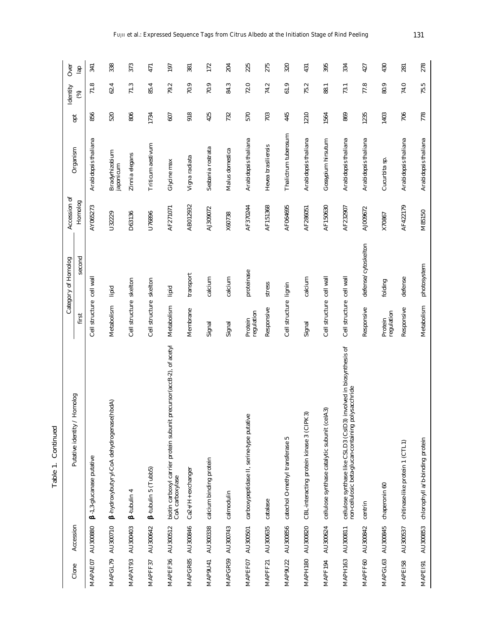| Clone               | Accession | Putative identity / Homolog                                                                                              |                          | Category of Homolog | Accession of | Organism                    | ă    | Identity | Over |
|---------------------|-----------|--------------------------------------------------------------------------------------------------------------------------|--------------------------|---------------------|--------------|-----------------------------|------|----------|------|
|                     |           |                                                                                                                          | first                    | second              | Homolog      |                             |      | 3        | lap  |
| MAPAE07             | AU300880  | -1,3-glucanase putative                                                                                                  | Cell structure cell wall |                     | AY065273     | Arabidopsis thaliana        | 856  | 71.8     | 341  |
| MAPGL79             | AU300710  | ıbdA)<br>hydroxybutyryl-CoA dehydrogenase(h                                                                              | Metabolism               | lipid               | U32229       | Bradyrhizobium<br>japonicum | 520  | 62.4     | 338  |
| MAPAT93             | AU300403  | 4<br>-tubulin                                                                                                            | Cell structure skelton   |                     | D63136       | Zinnia elegans              | 806  | 71.3     | 373  |
| MAPFF37             | AU300642  | tubulin 5 (Tubb5)                                                                                                        | Cell structure skelton   |                     | U76896       | Triticum aestivum           | 1734 | 85.4     | 471  |
| MAPEF36             | AU300512  | biotin carboxyl carrier protein subunit precursor (accB-2), of acetyl<br>CoA carboxylase                                 | Metabolism               | lipid               | AF271071     | Glycine max                 | 607  | 79.2     | 197  |
| MAPGR85             | AU300846  | Ca2+/H+ exchanger                                                                                                        | Membrane                 | transport           | AB012932     | Vigna radiata               | 918  | 70.9     | 381  |
| MAP <sub>9U41</sub> | AU300338  | calcium binding protein                                                                                                  | Signal                   | calcium             | AJ309072     | Sesbania rostrata           | 425  | 70.9     | 172  |
| MAPGR59             | AU300743  | calmodulin                                                                                                               | Signal                   | calcium             | X60738       | Malus domestica             | 732  | 84.3     | 204  |
| MAPEF07             | AU300501  | carboxypeptidase II, serine-type putative                                                                                | regulation<br>Protein    | proteinase          | AF370244     | Arabidopsis thaliana        | 570  | 72.0     | 225  |
| MAPFF21             | AU300635  | catalase                                                                                                                 | Responsive               | stress              | AF151368     | Hevea brasiliensis          | 703  | 74.2     | 275  |
| MAP9U22             | AU300856  | S<br>catechol O-methyl transferase                                                                                       | Cell structure lignin    |                     | AF064695     | Thalictrum tuberosum        | 445  | 61.9     | 320  |
| MAPH180             | AU300820  | CBL-interacting protein kinase 3 (CIPK3)                                                                                 | Signal                   | calcium             | AF286051     | Arabidopsis thaliana        | 1210 | 75.2     | 431  |
| MAPF194             | AU300624  | බ<br>cellulose synthase catalytic subunit (celA                                                                          | Cell structure cell wall |                     | AF150630     | Gossypium hirsutum          | 1564 | 88.1     | 395  |
| MAPH163             | AU300811  | cellulose synthase like CSLD3 (CslD3) involved in biosynthesis of<br>non-cellulosic beta-glucan-containing polysacchride | Cell structure cell wall |                     | AF232907     | Arabidopsis thaliana        | 869  | 73.1     | 334  |
| MAPFF60             | AU300842  | centrin                                                                                                                  | Responsive               | defense/cytoskelton | AJ009672     | Arabidopsis thaliana        | 1235 | 77.8     | 427  |
| MAPGL63             | AU300845  | chaperonin 60                                                                                                            | regulation<br>Protein    | folding             | X70867       | Cucurbita sp.               | 1403 | 80.9     | 430  |
| MAPEI58             | AU300537  | chitinase-like protein 1 (CTL1)                                                                                          | Responsive               | defense             | AF422179     | Arabidopsis thaliana        | 706  | 74.0     | 281  |
| MAPE <sub>191</sub> | AU300853  | chlorophyll a/b-binding protein                                                                                          | Metabolism               | photosystem         | M85150       | Arabidopsis thaliana        | 778  | 75.5     | 278  |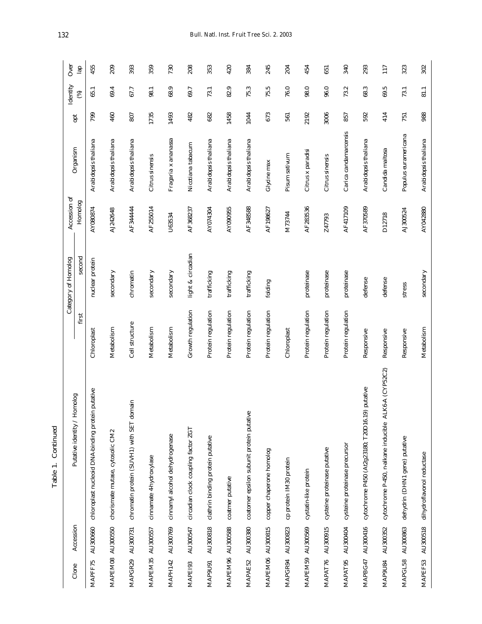| Clone            | Accession | Putative identity / Homolog                               |                    | Category of Homolog | Accession of | Organism              | opt  | Identity | Over          |
|------------------|-----------|-----------------------------------------------------------|--------------------|---------------------|--------------|-----------------------|------|----------|---------------|
|                  |           |                                                           | first              | second              | Homolog      |                       |      | ⊛        | $\frac{1}{2}$ |
| MAPFF75          | AU300660  | putative<br>chloroplast nucleoid DNA-binding protein      | Chloroplast        | nuclear protein     | AY080874     | Arabidopsis thaliana  | 799  | 65.1     | 455           |
| MAPEM08 AU300550 |           | chorismate mutase, cytosolic CM2                          | Metabolism         | secondary           | AJ242648     | Arabidopsis thaliana  | 460  | 69.4     | 209           |
| MAPGR29 AU300731 |           | chromatin protein (SUVH1) with SET domain                 | Cell structure     | chromatin           | AF34444      | Arabidopsis thaliana  | 807  | 67.7     | 393           |
| MAPEM35 AU300557 |           | cinnamate 4-hydroxylase                                   | Metabolism         | secondary           | AF255014     | Citrus sinensis       | 1735 | 98.1     | 359           |
| MAPH142          | AU300769  | cinnamyl alcohol dehydrogenase                            | Metabolism         | secondary           | U63534       | Fragaria x ananassa   | 1493 | 68.9     | 730           |
| MAPE193          | AU300547  | circadian clock coupling factor ZGT                       | Growth regulation  | light & circadian   | AF368237     | Nicotiana tabacum     | 482  | 69.7     | 208           |
| MAP9U91          | AU300818  | clathrin binding protein putative                         | Protein regulation | trafficking         | AY074304     | Arabidopsis thaliana  | 682  | 73.1     | 353           |
| MAPEM96 AU300588 |           | coatmer putative                                          | Protein regulation | trafficking         | AY090955     | Arabidopsis thaliana  | 1458 | 82.9     | 420           |
| MAPAE52          | AU300380  | coatomer epsilon subunit protein putative                 | Protein regulation | trafficking         | AF348588     | Arabidopsis thaliana  | 1044 | 75.3     | 384           |
| MAPEM06 AU300815 |           | copper chaperone homolog                                  | Protein regulation | folding             | AF198627     | Glycine max           | 673  | 75.5     | 245           |
| MAPGR94          | AU300823  | cp protein IM30 protein                                   | Chloroplast        |                     | M73744       | Pisum sativum         | 561  | 76.0     | 204           |
| MAPEM59 AU300569 |           | cystatin-like protein                                     | Protein regulation | proteinase          | AF283536     | Citrus x paradisi     | 2192 | 98.0     | 454           |
| MAPAT76          | AU300915  | cysteine proteinase putative                              | Protein regulation | proteinase          | Z47793       | Citrus sinensis       | 3006 | 96.0     | 651           |
| MAPAT95          | AU300404  | cysteine proteinase precursor                             | Protein regulation | proteinase          | AF417109     | Carica candamarcensis | 857  | 73.2     | 340           |
| MAPBG47          | AU300416  | putative<br>cytochrome P450 (At2g23180; T20D16.19)        | Responsive         | defense             | AF370589     | Arabidopsis thaliana  | 592  | 68.3     | 293           |
| MAP9U84          | AU300352  | K6-A (CYP52C2)<br>cytochrome P-450, n-alkane inducible AL | Responsive         | defense             | D12718       | Candida maltosa       | 414  | 69.5     | 117           |
| MAPGL58          | AU300863  | dehydrin (DHN1 gene) putative                             | Responsive         | stress              | AJ300524     | Populus euramericana  | 751  | 73.1     | 323           |
| MAPEF53          | AU300518  | dihydroflavonol reductase                                 | Metabolism         | secondary           | AY042880     | Arabidopsis thaliana  | 988  | 81.1     | 302           |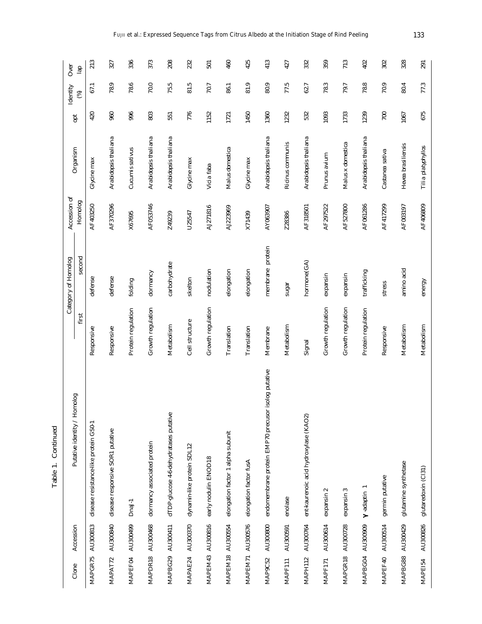| Clone   | Accession        | Putative identity / Homolog                         | first              | second<br>Category of Homolog | Accession of<br>Homolog | Organism             | opt  | Identity<br>⊛ | Over<br>르 |
|---------|------------------|-----------------------------------------------------|--------------------|-------------------------------|-------------------------|----------------------|------|---------------|-----------|
| MAPGR75 | AU300813         | disease resistance-like protein GS0-1               | Responsive         | defense                       | AF403250                | Glycine max          | 420  | 67.1          | 213       |
| MAPAT72 | AU300840         | disease responsive SOR1 putative                    | Responsive         | defense                       | AF370296                | Arabidopsis thaliana | 960  | 78.9          | 327       |
| MAPEF04 | AU300499         | Dnal-1                                              | Protein regulation | folding                       | X67695                  | Cucumis sativus      | 996  | 78.6          | 336       |
| MAPDR18 | AU300468         | dormancy associated protein                         | Growth regulation  | dormancy                      | AF053746                | Arabidopsis thaliana | 803  | 70.0          | 373       |
|         | MAPBG29 AU300411 | dTDP-glucose 4-6-dehydratases putative              | Metabolism         | carbohydrate                  | Z49239                  | Arabidopsis thaliana | 551  | 75.5          | 208       |
| MAPAE24 | AU300370         | dynamin-like protein SDL12                          | Cell structure     | skelton                       | U25547                  | Glycine max          | 776  | 81.5          | 232       |
|         | MAPEM43 AU300816 | early nodulin ENOD18                                | Growth regulation  | nodulation                    | AJ271816                | Vicia faba           | 1152 | 70.7          | 501       |
|         | MAPEM18 AU300554 | elongation factor 1 alpha subunit                   | Translation        | elongation                    | AJ223969                | Malus domestica      | 1721 | 86.1          | 460       |
|         | MAPEM71 AU300576 | elongation factor fusA                              | Translation        | elongation                    | X71439                  | Glycine max          | 1450 | 81.9          | 425       |
| MAP9C52 | AU300800         | endomembrane protein EMP70 precusor isolog putative | Membrane           | membrane protein              | AY063907                | Arabidopsis thaliana | 1360 | 80.9          | 413       |
| MAPF111 | AU300591         | enolase                                             | Metabolism         | sugar                         | Z28386                  | Ricinus communis     | 1232 | 77.5          | 427       |
| MAPH112 | AU300764         | ent-kaurenoic acid hydroxylase (KAO2)               | Signal             | hormone(GA)                   | AF318501                | Arabidopsis thaliana | 532  | 62.7          | 332       |
| MAPF171 | AU300614         | $\sim$<br>expansin                                  | Growth regulation  | expansin                      | AF297522                | Prunus avium         | 1093 | 78.3          | 359       |
| MAPGR18 | AU300728         | S<br>expansin                                       | Growth regulation  | expansin                      | AF527800                | Malus x domestica    | 1733 | 79.7          | 713       |
| MAPBG04 | AU300909         | -adaptin                                            | Protein regulation | trafficking                   | AF061286                | Arabidopsis thaliana | 1239 | 78.8          | 402       |
| MAPEF40 | AU300514         | germin putative                                     | Responsive         | stress                        | AF417299                | Castanea sativa      | 700  | 70.9          | 302       |
| MAPBG88 | AU300429         | glutamine synthetase                                | Metabolism         | amino acid                    | AF003197                | Hevea brasiliensis   | 1067 | 80.4          | 328       |
| MAPEI54 | AU300826         | glutaredoxin (Cl31)                                 | Metabolism         | energy                        | AF406809                | Tilia platyphyllos   | 675  | 77.3          | 291       |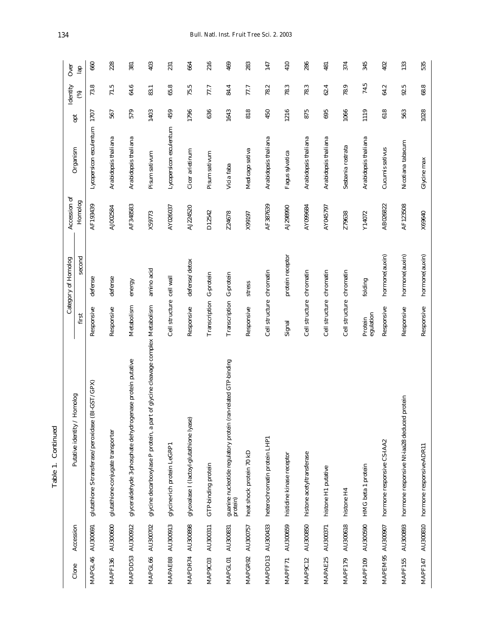| Ξ<br>, |  |
|--------|--|
|        |  |
| Ψ<br>∍ |  |

|                     |           |                                                                                |                          | Category of Homolog | Accession of |                         |      | Identity | Over          |
|---------------------|-----------|--------------------------------------------------------------------------------|--------------------------|---------------------|--------------|-------------------------|------|----------|---------------|
| Clone               | Accession | Putative identity / Homolog                                                    | first                    | second              | Homolog      | Organism                | pt   | 3        | $\frac{1}{2}$ |
| MAPGL46             | AU300691  | GST/GPX)<br>glutathione S-transferase/peroxidase (BI                           | Responsive               | defense             | AF193439     | Lycopersicon esculentum | 1707 | 73.8     | 660           |
| MAPF136             | AU300600  | glutathione-conjugate transporter                                              | Responsive               | defense             | AJ002584     | Arabidopsis thaliana    | 567  | 71.5     | 228           |
| MAPDD53             | AU300912  | glyceraldehyde 3-phosphate dehydrogenase protein putative                      | Metabolism               | energy              | AF348583     | Arabidopsis thaliana    | 579  | 64.6     | 381           |
| MAPGL66             | AU300702  | glycine decarboxylase P protein, a part of glycine cleavage complex Metabolism |                          | amino acid          | X59773       | Pisum sativum           | 1403 | 83.1     | 403           |
| MAPAE88             | AU300913  | glycine-rich protein LeGRP1                                                    | Cell structure cell wall |                     | AY026037     | Lycopersicon esculentum | 459  | 65.8     | 231           |
| MAPDR74             | AU300898  | glyoxalase I (lactoyl-glutathione lyase)                                       | Responsive               | defense/detox       | AJ224520     | Cicer arietinum         | 1796 | 75.5     | 664           |
| MAP9C03             | AU300311  | GTP-binding protein                                                            | Transcription            | G-protein           | D12542       | Pisum sativum           | 636  | 77.7     | 216           |
| MAPGL01             | AU300831  | guanine nucleotide regulatory protein (ran-related GTP-binding<br>protein)     | Transcription            | G-protein           | Z24678       | Vicia faba              | 1643 | 84.4     | 469           |
| MAPGR92             | AU300757  | heat shock protein 70 kD                                                       | Responsive               | stress              | X99197       | Medicago sativa         | 818  | 77.7     | 283           |
| MAPDD13             | AU300433  | heterochromatin protein LHP1                                                   | Cell structure chromatin |                     | AF387639     | Arabidopsis thaliana    | 450  | 78.2     | 147           |
| MAPFF71             | AU300659  | histidine kinase receptor                                                      | Signal                   | protein receptor    | AJ298990     | Fagus sylvatica         | 1216 | 78.3     | 410           |
| MAP <sub>9C12</sub> | AU300850  | histone acetyltransferase                                                      | Cell structure chromatin |                     | AY099684     | Arabidopsis thaliana    | 875  | 78.3     | 286           |
| MAPAE25             | AU300371  | histone H1 putative                                                            | Cell structure chromatin |                     | AY045797     | Arabidopsis thaliana    | 695  | 62.4     | 481           |
| MAPF179             | AU300618  | histone H4                                                                     | Cell structure chromatin |                     | Z79638       | Sesbania rostrata       | 1066 | 78.9     | 374           |
| MAPF109             | AU300590  | HMG beta 1 protein                                                             | egulation<br>Protein     | folding             | Y14072       | Arabidopsis thaliana    | 1119 | 74.5     | 345           |
| MAPEM95             | AU300907  | hormone responsive CS-IAA2                                                     | Responsive               | hormone (auxin)     | AB026822     | Cucumis sativus         | 618  | 64.2     | 402           |
| MAPF155             | AU300893  | hormone responsive Nt-iaa28 deduced protein                                    | Responsive               | hormone(auxin)      | AF123508     | Nicotiana tabacum       | 563  | 92.5     | 133           |
| MAPF147             | AU300810  | hormone responsive-ADR11                                                       | Responsive               | hormone (auxin)     | X69640       | Glycine max             | 1028 | 68.8     | 535           |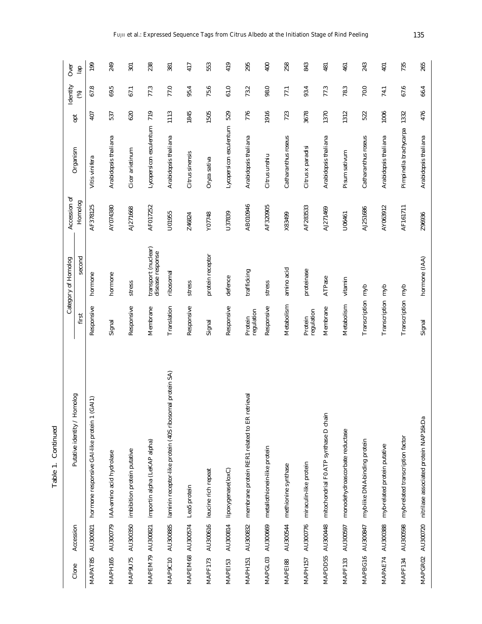| Clone   | Accession        | omolog<br>Putative identity / Ho                         |                       | Category of Homolog                     | Accession of | Organism                    | opt  | Identity      | Over |
|---------|------------------|----------------------------------------------------------|-----------------------|-----------------------------------------|--------------|-----------------------------|------|---------------|------|
|         |                  |                                                          | first                 | second                                  | Homolog      |                             |      | $\circledast$ | lap  |
| MAPAT85 | AU300921         | GAI1)<br>hormone responsive GAI-like protein 1           | Responsive            | hormone                                 | AF378125     | Vitis vinifera              | 407  | 67.8          | 199  |
| MAPH165 |                  | AU300779 IAA-amino acid hydrolase                        | Signal                | hormone                                 | AY074380     | Arabidopsis thaliana        | 537  | 69.5          | 249  |
| MAP9U75 |                  | AU300350 imbibition protein putative                     | Responsive            | stress                                  | AJ271668     | Cicer arietinum             | 620  | 67.1          | 301  |
|         | MAPEM79 AU300821 | importin alpha (LeKAP alpha)                             | Membrane              | transport (nuclear)<br>disease response | AF017252     | Lycopersicon esculentum     | 719  | 77.3          | 238  |
|         | MAP9C10 AU300885 | laminin receptor-like protein (40S ribosomal protein SA) | Translation           | ribosomal                               | U01955       | Arabidopsis thaliana        | 1113 | 77.0          | 381  |
|         | MAPEM68 AU300574 | Lea5 protein                                             | Responsive            | stress                                  | Z46824       | Citrus sinensis             | 1845 | 95.4          | 417  |
| MAPF173 |                  | AU300616 leucine rich repeat                             | Signal                | protein receptor                        | Y07748       | Oryza sativa                | 1505 | 75.6          | 553  |
| MAPEI53 | AU300814         | lipoxygenase(loxC)                                       | Responsive            | defence                                 | U37839       | Lycopersicon esculentum     | 529  | 61.0          | 419  |
| MAPH151 | AU300832         | membrane protein RER1 related to ER retrieval            | regulation<br>Protein | trafficking                             | AB010946     | Arabidopsis thaliana        | 776  | 73.2          | 295  |
| MAPGL03 |                  | AU300669 metallothionein-like protein                    | Responsive            | stress                                  | AF320905     | Citrus unshiu               | 1916 | 98.0          | 400  |
| MAPEI88 | AU300544         | methionine synthase                                      | Metabolism            | amino acid                              | X83499       | Catharanthus roseus         | 723  | 77.1          | 258  |
| MAPH157 | AU300776         | miraculin-like protein                                   | regulation<br>Protein | proteinase                              | AF283533     | Citrus x paradisi           | 3678 | 93.4          | 843  |
| MAPDD55 | AU300448         | mitochondrial F0 ATP synthase D chain                    | Membrane              | ATPase                                  | AJ271469     | Arabidopsis thaliana        | 1370 | 77.3          | 481  |
| MAPF133 | AU300597         | monodehydroascorbate reductase                           | Metabolism            | vitamin                                 | U06461       | Pisum sativum               | 1312 | 78.3          | 461  |
| MAPBG16 | AU300847         | myb-like DNA-binding protein                             | Transcription myb     |                                         | AJ251686     | Catharanthus roseus         | 522  | 70.0          | 243  |
| MAPAE74 | AU300388         | myb-related protein putative                             | Transcription myb     |                                         | AY063912     | Arabidopsis thaliana        | 1006 | 74.1          | 401  |
| MAPF134 | AU300598         | myb-related transcription factor                         | Transcription myb     |                                         | AF161711     | Pimpinella brachycarpa 1332 |      | 67.6          | 735  |
| MAPGR02 |                  | AU300720 nitrilase associated protein NAP16kDa           | Signal                | hormone (IAA)                           | Z96936       | Arabidopsis thaliana        | 476  | 66.4          | 265  |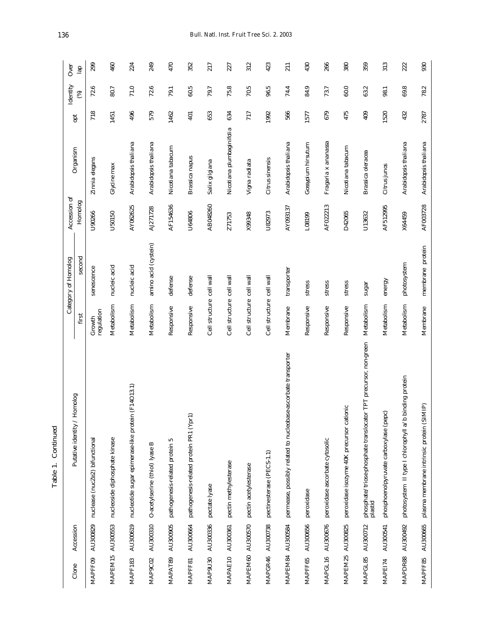| ٦<br>Õ |  |
|--------|--|
|        |  |
|        |  |

|                |           |                                                                                |                          | Category of Homolog  | Accession of |                           |      | Identity      | Over |
|----------------|-----------|--------------------------------------------------------------------------------|--------------------------|----------------------|--------------|---------------------------|------|---------------|------|
| Clone          | Accession | Putative identity / Homolog                                                    | first                    | second               | Homolog      | Organism                  | opt  | $\circledast$ | lap  |
| MAPFF09        | AU300829  | nuclease (nucZe2) bifunctional                                                 | regulation<br>Growth     | senescence           | U90266       | Zinnia elegans            | 718  | 72.6          | 299  |
| MAPEM15        | AU300553  | nucleoside diphosphate kinase                                                  | Metabolism               | nucleic acid         | U50150       | Glycine max               | 1451 | 80.7          | 460  |
| <b>MAPF183</b> | AU300619  | nucleotide sugar epimerase-like protein (F14O13.1)                             | Metabolism               | nucleic acid         | AY062625     | Arabidopsis thaliana      | 496  | 71.0          | 224  |
| MAP9C02        | AU300310  | O-acetylserine (thiol) lyase B                                                 | Metabolism               | amino acid (cystein) | AJ271728     | Arabidopsis thaliana      | 579  | 72.6          | 249  |
| MAPAT89        | AU300905  | S<br>pathogenesis-related protein                                              | Responsive               | defense              | AF154636     | Nicotiana tabacum         | 1462 | 79.1          | 470  |
| MAPFF81        | AU300664  | pathogenesis-related protein PR1 (Ypr1)                                        | Responsive               | defense              | U64806       | Brassica napus            | 401  | 60.5          | 352  |
| MAP9U30        | AU300336  | pectate lyase                                                                  | Cell structure cell wall |                      | AB048260     | Salix gilgiana            | 653  | 79.7          | 217  |
| MAPAE10        | AU300361  | pectin methylesterase                                                          | Cell structure cell wall |                      | Z71753       | Nicotiana plumbaginifolia | 634  | 75.8          | 227  |
| MAPEM60        | AU300570  | pectin acetylesterase                                                          | Cell structure cell wall |                      | X99348       | Vigna radiata             | 717  | 70.5          | 312  |
| MAPGR46        | AU300738  | pectinesterase (PECS-1.1)                                                      | Cell structure cell wall |                      | U82973       | Citrus sinensis           | 1992 | 96.5          | 423  |
| MAPEM84        | AU300584  | permease, possibly related to nucleobase-ascorbate transporter                 | Membrane                 | transporter          | AY093137     | Arabidopsis thaliana      | 566  | 74.4          | 211  |
| MAPFF65        | AU300656  | peroxidase                                                                     | Responsive               | stress               | L08199       | Gossypium hirsutum        | 1577 | 84.9          | 430  |
| MAPGL16        | AU300676  | peroxidase ascorbate cytosolic                                                 | Responsive               | stress               | AF022213     | Fragaria x ananassa       | 679  | 73.7          | 266  |
| MAPEM25        | AU300825  | peroxidase isozyme 40K precursor cationic                                      | Responsive               | stress               | D42065       | Nicotiana tabacum         | 475  | 60.0          | 380  |
| MAPGL85        | AU300712  | TPT precursor, non-green<br>phosphate/triose-phosphate translocator<br>plastid | Metabolism               | sugar                | U13632       | Brassica oleracea         | 409  | 63.2          | 359  |
| MAPEI74        | AU300541  | phosphoenolpyruvate carboxylase (pepc)                                         | Metabolism               | energy               | AF512995     | Citrus junos              | 1520 | 98.1          | 313  |
| MAPDR88        | AU300492  | nding protein<br>photosystem II type I chlorophyll a/b bi                      | Metabolism               | photosystem          | X64459       | Arabidopsis thaliana      | 432  | 69.8          | 222  |
| MAPFF85        | AU300665  | ê<br>plasma membrane intrinsic protein (SIM                                    | Membrane                 | membrane protein     | AF003728     | Arabidopsis thaliana      | 2787 | 78.2          | 930  |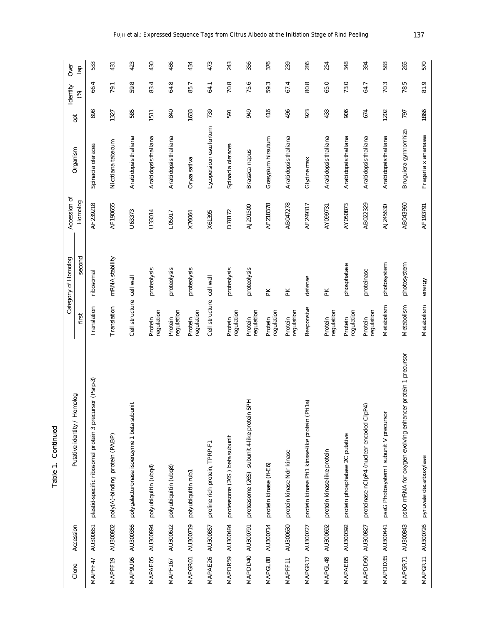| Clone          | Accession        | Putative identity / Homolog                                 |                          | Category of Homolog | Accession of | Organism                | pt   | Identity | Over |
|----------------|------------------|-------------------------------------------------------------|--------------------------|---------------------|--------------|-------------------------|------|----------|------|
|                |                  |                                                             | first                    | second              | Homolog      |                         |      | 3        | 르    |
| MAPFF47        | AU300851         | rsor (Psrp-3)<br>plastid-specific ribosomal protein 3 precu | Translation              | ribosomal           | AF239218     | Spinacia oleracea       | 898  | 66.4     | 533  |
| MAPFF19        | AU300802         | poly(A)-binding protein (PABP)                              | Translation              | mRNA stability      | AF190655     | Nicotiana tabacum       | 1327 | 79.1     | 431  |
| MAP9U96        | AU300356         | polygalacturonase isoenzyme 1 beta subunit                  | Cell structure cell wall |                     | U63373       | Arabidopsis thaliana    | 585  | 59.8     | 423  |
| MAPAE05        | AU300894         | polyubiquitin (ubq4)                                        | regulation<br>Protein    | proteolysis         | U33014       | Arabidopsis thaliana    | 1511 | 83.4     | 430  |
| MAPF167        | AU300612         | polyubiquitin (ubq8)                                        | regulation<br>Protein    | proteolysis         | L05917       | Arabidopsis thaliana    | 840  | 64.8     | 486  |
| <b>MAPGR01</b> | AU300719         | polyubiquitin rub1                                          | regulation<br>Protein    | proteolysis         | X76064       | Oryza sativa            | 1633 | 85.7     | 434  |
| MAPAE26        | AU300857         | proline rich protein, TPRP-F1                               | Cell structure cell wall |                     | X61395       | Lycopersicon esculentum | 739  | 64.1     | 473  |
| MAPDR59        | AU300484         | proteasome (26S) beta subunit                               | regulation<br>Protein    | proteolysis         | D78172       | Spinacia oleracea       | 591  | 70.8     | 243  |
|                | MAPDD40 AU300791 | <b>HdS</b><br>proteasome (26S) subunit 4-like protein       | regulation<br>Protein    | proteolysis         | AJ291500     | Brassica napus          | 949  | 75.6     | 356  |
| MAPGL88        | AU300714         | protein kinase (fl-E6)                                      | regulation<br>Protein    | PK                  | AF218378     | Gossypium hirsutum      | 416  | 59.3     | 376  |
| MAPFF11        | AU300630         | protein kinase Ndr kinase                                   | regulation<br>Protein    | PK                  | AB047278     | Arabidopsis thaliana    | 496  | 67.4     | 239  |
| MAPGR17        | AU300727         | protein kinase Ptil kinase-like protein (Pti1a)             | Responsive               | defense             | AF249317     | Glycine max             | 923  | 80.8     | 286  |
| MAPGL48        | AU300692         | protein kinase-like protein                                 | regulation<br>Protein    | PK                  | AY099731     | Arabidopsis thaliana    | 433  | 65.0     | 254  |
| MAPAE85        | AU300392         | protein phosphatase 2C putative                             | regulation<br>Protein    | phosphatase         | AY050873     | Arabidopsis thaliana    | 906  | 73.0     | 348  |
| MAPDD90        | AU300827         | proteinase nClpP4 (nuclear encoded ClpP4)                   | regulation<br>Protein    | proteinase          | AB022329     | Arabidopsis thaliana    | 674  | 64.7     | 394  |
| MAPDD35        | AU300441         | psaG Photosystem I subunit V precursor                      | Metabolism               | photosystem         | AJ245630     | Arabidopsis thaliana    | 1202 | 70.3     | 583  |
| MAPGR71        | AU300843         | psbO mRNA for oxygen evolving enhancer protein 1 precursor  | Metabolism               | photosystem         | AB043960     | Bruguiera gymnorrhiza   | 797  | 78.5     | 265  |
| MAPGR11        | AU300726         | pyruvate decarboxylase                                      | Metabolism               | energy              | AF193791     | Fragaria x ananassa     | 1866 | 81.9     | 570  |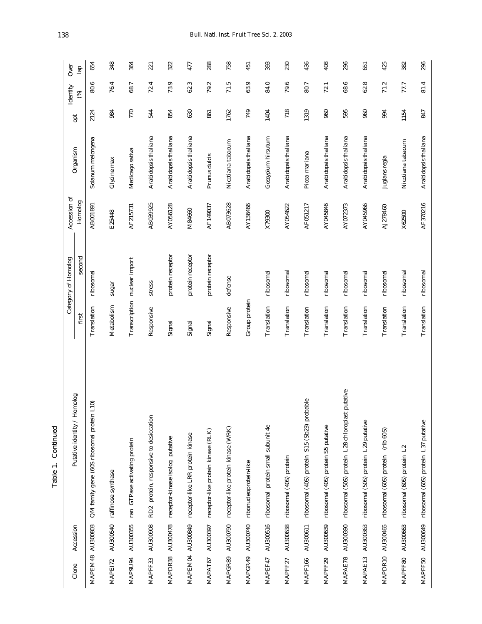| ${\it Cone}$     | Accession | Putative identity / Homolog                         |               | Category of Homolog          | Accession of | Organism             | opt  | Identity | Over          |
|------------------|-----------|-----------------------------------------------------|---------------|------------------------------|--------------|----------------------|------|----------|---------------|
|                  |           |                                                     | first         | second                       | Homolog      |                      |      | ⊛        | $\frac{1}{2}$ |
| MAPEM48 AU300803 |           | QM family gene (60S ribosomal protein L10)          | Translation   | ribosomal                    | AB001891     | Solanum melongena    | 2124 | 80.6     | 654           |
| MAPEI72          |           | AU300540 raffinose synthase                         | Metabolism    | sugar                        | E25448       | Glycine max          | 984  | 76.4     | 348           |
| MAP9U94          | AU300355  | ran GTPase activating protein                       |               | Transcription nuclear import | AF215731     | Medicago sativa      | 770  | 68.7     | 364           |
| MAPFF33          | AU300908  | RD2 protein, responsive to desiccation              | Responsive    | stress                       | AB039925     | Arabidopsis thaliana | 544  | 72.4     | 221           |
| MAPDR38          | AU300478  | receptor-kinase isolog putative                     | Signal        | protein receptor             | AY056128     | Arabidopsis thaliana | 854  | 73.9     | 322           |
|                  |           | MAPEM04 AU300849 receptor-like LRR protein kinase   | Signal        | protein receptor             | M84660       | Arabidopsis thaliana | 630  | 62.3     | 477           |
| MAPAT67          | AU300397  | receptor-like protein kinase (RLK)                  | Signal        | protein receptor             | AF149037     | Prunus dulcis        | 861  | 79.2     | 288           |
| MAPGR89          | AU300790  | receptor-like protein kinase (WRK)                  | Responsive    | defense                      | AB073628     | Nicotiana tabacum    | 1762 | 71.5     | 758           |
| MAPGR49          |           | AU300740 ribonucleoprotein-like                     | Group protein |                              | AY136466     | Arabidopsis thaliana | 749  | 63.9     | 451           |
| MAPEF47          | AU300516  | ribosomal protein small subunit 4e                  | Translation   | ribosomal                    | X79300       | Gossypium hirsutum   | 1404 | 84.0     | 393           |
| MAPFF27          | AU300638  | ribosomal (40S) protein                             | Translation   | ribosomal                    | AY054622     | Arabidopsis thaliana | 718  | 79.6     | 230           |
| MAPF166          | AU300611  | ribosomal (40S) protein S15 (Sb23) probable         | Translation   | ribosomal                    | AF051217     | Picea mariana        | 1319 | 80.7     | 436           |
| MAPFF29          | AU300639  | ribosomal (40S) protein S5 putative                 | Translation   | ribosomal                    | AY045846     | Arabidopsis thaliana | 960  | 72.1     | 408           |
| MAPAE78          | AU300390  | putative<br>ribosomal (50S) protein L28 chloroplast | Translation   | ribosomal                    | AY072373     | Arabidopsis thaliana | 595  | 68.6     | 296           |
| MAPAE13          | AU300363  | ribosomal (50S) protein L29 putative                | Translation   | ribosomal                    | AY045966     | Arabidopsis thaliana | 960  | 62.8     | 651           |
| MAPDR10          | AU300465  | (rib 60S)<br>ribosomal (60S) protein                | Translation   | ribosomal                    | AJ278460     | Juglans regia        | 994  | 71.2     | 425           |
| MAPFF80          | AU300663  | $\mathbf{L}^2$<br>ribosomal (60S) protein           | Translation   | ribosomal                    | X62500       | Nicotiana tabacum    | 1154 | 77.7     | 382           |
| MAPFF50          | AU300649  | ribosomal (60S) protein L37 putative                | Translation   | ribosomal                    | AF370216     | Arabidopsis thaliana | 847  | 81.4     | 296           |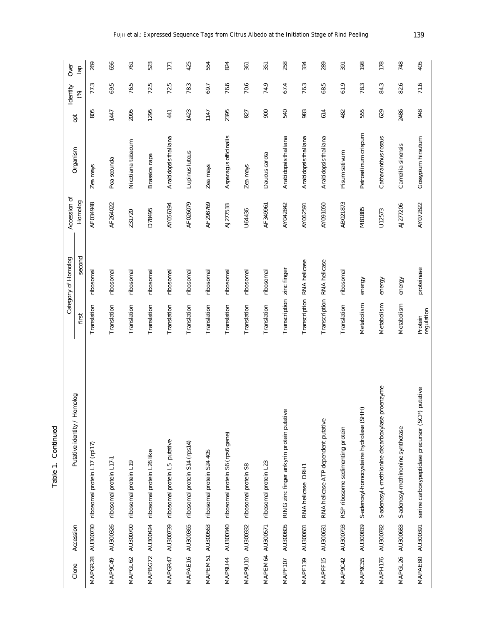|                     |                  |                                                  |                           | Category of Homolog        | Accession of |                       |      | Identity | Over          |
|---------------------|------------------|--------------------------------------------------|---------------------------|----------------------------|--------------|-----------------------|------|----------|---------------|
| Clone               | Accession        | golomo<br>Putative identity / H                  | first                     | second                     | Homolog      | Organism              | pt   | ⊛        | $\frac{a}{2}$ |
| MAPGR28             |                  | AU300730 ribosomal protein L17 (rpl17)           | Translation               | ribosomal                  | AF034948     | Zea mays              | 805  | 77.3     | 269           |
| MAP9C49             |                  | AU300326 ribosomal protein L17-1                 | Translation               | ribosomal                  | AF264022     | Poa secunda           | 1447 | 69.5     | 656           |
| MAPGL62             |                  | AU300700 ribosomal protein L19                   | Translation               | ribosomal                  | Z31720       | Nicotiana tabacum     | 2095 | 76.5     | 761           |
| MAPBG72             |                  | AU300424 ribosomal protein L26 like              | Translation               | ribosomal                  | D78495       | Brassica rapa         | 1295 | 72.5     | 523           |
| MAPGR47             |                  | AU300739 ribosomal protein L5 putative           | Translation               | ribosomal                  | AY056194     | Arabidopsis thaliana  | 441  | 72.5     | 171           |
| MAPAE16             | AU300365         | ribosomal protein S14 (rps14)                    | Translation               | ribosomal                  | AF026079     | Lupinus luteus        | 1423 | 78.3     | 425           |
| MAPEM51             | AU300563         | ribosomal protein S24 40S                        | Translation               | ribosomal                  | AF298769     | Zea mays              | 1147 | 69.7     | 554           |
| MAP9U44             | AU300340         | ribosomal protein S6 (rps6 gene)                 | Translation               | ribosomal                  | AJ277533     | Asparagus officinalis | 2395 | 76.6     | 824           |
| MAP <sub>9U10</sub> | AU300332         | ribosomal protein S8                             | Translation               | ribosomal                  | U64436       | Zea mays              | 827  | 70.6     | 361           |
| MAPEM64             | AU300571         | ribosomal protein L23                            | Translation               | ribosomal                  | AF349961     | Daucus carota         | 900  | 74.9     | 351           |
| MAPF107             | AU300805         | RING zinc finger ankyrin protein putative        | Transcription zinc finger |                            | AY042842     | Arabidopsis thaliana  | 540  | 67.4     | 258           |
| MAPF139             | AU300601         | RNA helicase DRH1                                |                           | Transcription RNA helicase | AY062591     | Arabidopsis thaliana  | 983  | 76.3     | 334           |
| MAPFF15             | AU300631         | RNA helicase ATP-dependent putative              |                           | Transcription RNA helicase | AY091050     | Arabidopsis thaliana  | 614  | 68.5     | 289           |
| MAP9C42             | AU300793         | RSP ribosome sedimenting protein                 | Translation               | ribosomal                  | AB021873     | Pisum sativum         | 482  | 61.9     | 391           |
| MAP9C55             | AU300819         | S-adenosyl-homocysteine hydrolase (SHH)          | Metabolism                | energy                     | M81885       | Petroselinum crispum  | 555  | 78.3     | 198           |
| MAPH176             | AU300782         | S-adenosyl-1-methionine decarboxylase proenzyme  | Metabolism                | energy                     | U12573       | Catharanthus roseus   | 629  | 84.3     | 178           |
| MAPGL26             | AU300683         | S-adenosyl-methinonine synthetase                | Metabolism                | energy                     | AJ277206     | Camellia sinensis     | 2486 | 82.6     | 748           |
|                     | MAPAE80 AU300391 | serine carboxypeptidase precursor (SCP) putative | regulation<br>Protein     | proteinase                 | AY072822     | Gossypium hirsutum    | 948  | 71.6     | 405           |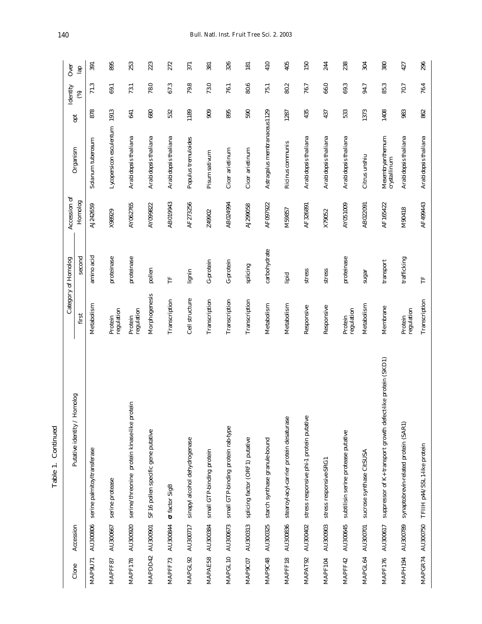| Clone          | Accession        | Putative identity / Homolog                                  |                       | Category of Homolog | Accession of | Organism                         | pti  | Identity | Over           |
|----------------|------------------|--------------------------------------------------------------|-----------------------|---------------------|--------------|----------------------------------|------|----------|----------------|
|                |                  |                                                              | first                 | second              | Homolog      |                                  |      | ⊛        | $\frac{1}{10}$ |
| MAP9U71        | AU300806         | serine palmitoyltransferase                                  | Metabolism            | amino acid          | AJ242659     | Solanum tuberosum                | 878  | 71.3     | 391            |
| MAPFF87        | AU300667         | serine protease                                              | regulation<br>Protein | proteinase          | X98929       | Lycopersicon esculentum 1913     |      | 69.1     | 895            |
| <b>MAPF178</b> | AU300920         | serine/threonine protein kinase-like protein                 | regulation<br>Protein | proteinase          | AY062765     | Arabidopsis thaliana             | 641  | 73.1     | 253            |
|                | MAPDD42 AU300901 | SF16 pollen specific gene putative                           | Morphogenesis         | pollen              | AY099822     | Arabidopsis thaliana             | 680  | 78.0     | 223            |
| MAPFF73        | AU300844         | factor SigB                                                  | Transcription         | Ë                   | AB019943     | Arabidopsis thaliana             | 532  | 67.3     | 272            |
| MAPGL92        | AU300717         | sinapyl alcohol dehydrogenase                                | Cell structure        | lignin              | AF273256     | Populus tremuloides              | 1189 | 79.8     | 371            |
| MAPAE58        | AU300384         | small GTP-binding protein                                    | Transcription         | G-protein           | Z49902       | Pisum sativum                    | 909  | 73.0     | 381            |
| MAPGL10        | AU300673         | small GTP-binding protein rab-type                           | Transcription         | G-protein           | AB024994     | Cicer arietinum                  | 895  | 76.1     | 326            |
| MAP9C07        | AU300313         | splicing factor (ORF1) putative                              | Transcription         | splicing            | AJ299058     | Cicer arietinum                  | 590  | 80.6     | 181            |
| MAP9C48        | AU300325         | starch synthase granule-bound                                | Metabolism            | carbohydrate        | AF097922     | Astragalus membranaceus 1129     |      | 75.1     | 410            |
| MAPFF18        | AU300836         | stearoyl-acyl-carrier protein desaturase                     | Metabolism            | lipid               | M59857       | Ricinus communis                 | 1287 | 80.2     | 405            |
| MAPAT92        | AU300402         | stress responsive phi-1 protein putative                     | Responsive            | stress              | AF326891     | Arabidopsis thaliana             | 435  | 76.7     | 150            |
| MAPF104        | AU300903         | stress responsive-SRG1                                       | Responsive            | stress              | X79052       | Arabidopsis thaliana             | 437  | 66.0     | 244            |
| MAPFF42        | AU300645         | subtilisin serine protease putative                          | regulation<br>Protein | proteinase          | AY051009     | Arabidopsis thaliana             | 533  | 69.3     | 238            |
| MAPGL64        | AU300701         | sucrose synthase CitSUSA                                     | Metabolism            | $s$ ugar            | AB022091     | Citrus unshiu                    | 1373 | 94.7     | 304            |
| <b>MAPF176</b> | AU300617         | suppressor of K+ transport growth defect-like protein (SKD1) | Membrane              | transport           | AF165422     | Mesembryanthemum<br>crystallinum | 1408 | 85.3     | 380            |
| MAPH194        | AU300789         | synaptobrevin-related protein (SAR1)                         | regulation<br>Protein | trafficking         | M90418       | Arabidopsis thaliana             | 983  | 70.7     | 427            |
| MAPGR74        | AU300750         | TFIIH p44/SSL1-like protein                                  | Transcription         | Ë                   | AF499443     | Arabidopsis thaliana             | 862  | 76.4     | 296            |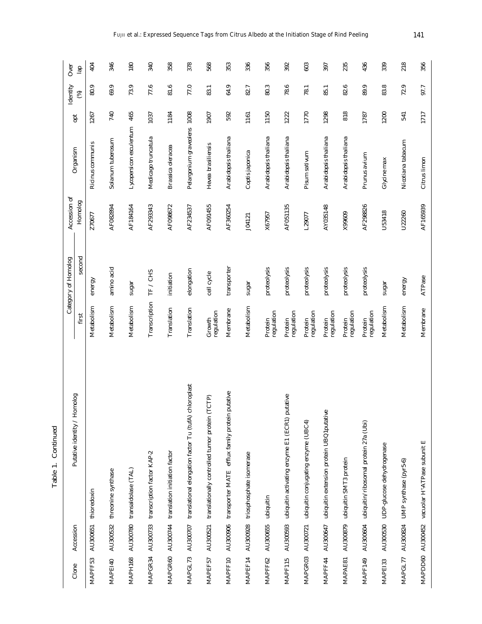| Clone   | Accession          | Putative identity / Homolog                                    |                       | Category of Homolog | Accession of | Organism                    | opt  | Identity | Over          |
|---------|--------------------|----------------------------------------------------------------|-----------------------|---------------------|--------------|-----------------------------|------|----------|---------------|
|         |                    |                                                                | first                 | second              | Homolog      |                             |      | ⊛        | $\frac{1}{2}$ |
| MAPFF53 |                    | AU300651 thioredoxin                                           | Metabolism            | energy              | Z70677       | Ricinus communis            | 1267 | 80.9     | 404           |
| MAPEI40 |                    | AU300532 threonine synthase                                    | Metabolism            | amino acid          | AF082894     | Solanum tuberosum           | 740  | 69.9     | 346           |
| MAPH168 |                    | AU300780 transaldolase (TAL)                                   | Metabolism            | $s$ ugar            | AF184164     | Lycopersicon esculentum     | 465  | 73.9     | 180           |
| MAPGR34 |                    | AU300733 transcription factor KAP-2                            | Transcription         | TF / CHS            | AF293343     | Medicago truncatula         | 1037 | 77.6     | 340           |
| MAPGR60 |                    | AU300744 translation initiation factor                         | Translation           | initiation          | AF098672     | Brassica oleracea           | 1184 | 81.6     | 358           |
| MAPGL73 |                    | AU300707 translational elongation factor Tu (tufA) chloroplast | Translation           | elongation          | AF234537     | Pelargonium graveolens 1008 |      | 77.0     | 378           |
| MAPEF57 |                    | AU300521 translationally controlled tumor protein (TCTP)       | regulation<br>Growth  | cell cycle          | AF091455     | Hevea brasiliensis          | 1907 | 83.1     | 568           |
| MAPFF10 |                    | putative<br>AU300906 transporter MATE efflux family protein    | Membrane              | transporter         | AF360254     | Arabidopsis thaliana        | 592  | 64.9     | 353           |
| MAPEF14 |                    | AU300928 triosphosphate isomerase                              | Metabolism            | sugar               | J04121       | Coptis japonica             | 1161 | 82.7     | 336           |
| MAPFF62 | AU300655 ubiquitin |                                                                | regulation<br>Protein | proteolysis         | X67957       | Arabidopsis thaliana        | 1150 | 80.3     | 356           |
| MAPF115 |                    | AU300593 ubiquitin activating enzyme E1 (ECR1) putative        | regulation<br>Protein | proteolysis         | AF051135     | Arabidopsis thaliana        | 1222 | 78.6     | 392           |
| MAPGR03 |                    | AU300721 ubiquitin conjugating enzyme (UBC4)                   | regulation<br>Protein | proteolysis         | L29077       | Pisum sativum               | 1770 | 78.1     | 603           |
| MAPFF44 |                    | AU300647 ubiquitin extension protein UBQ1putative              | regulation<br>Protein | proteolysis         | AY035148     | Arabidopsis thaliana        | 1298 | 85.1     | 397           |
| MAPAE81 |                    | AU300879 ubiquitin SMT3 protein                                | regulation<br>Protein | proteolysis         | X99609       | Arabidopsis thaliana        | 818  | 82.6     | 235           |
| MAPF149 |                    | AU300604 ubiquitin/ribosomal protein 27a (Ubi)                 | regulation<br>Protein | proteolysis         | AF298826     | Prunus avium                | 1787 | 89.9     | 436           |
| MAPE133 | AU300530           | UDP-glucose dehydrogenase                                      | Metabolism            | sugar               | U53418       | Glycine max                 | 1200 | 83.8     | 339           |
| MAPGL77 | AU300824           | UMP synthase (pyr5-6)                                          | Metabolism            | energy              | U22260       | Nicotiana tabacum           | 541  | 72.9     | 218           |
|         |                    | MAPDD60 AU300452 vacuolar H <sup>+</sup> -ATPase subunit E     | Membrane              | ATPase              | AF165939     | Citrus limon                | 1717 | 97.7     | 356           |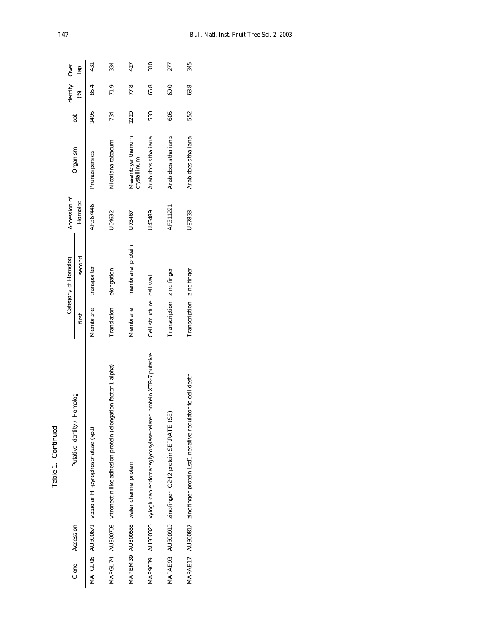|                 |                                                                                 |                           | Category of Homolog | Accession of |                                  |      | $\begin{tabular}{ll} \textbf{Identity} & Over \\ & (%) & \textbf{1}_{22} \\ \end{tabular}$ |                 |
|-----------------|---------------------------------------------------------------------------------|---------------------------|---------------------|--------------|----------------------------------|------|--------------------------------------------------------------------------------------------|-----------------|
| Clone Accession | Putative identity / Homolog                                                     | fіrst                     | second              | Homolog      | Organism                         |      |                                                                                            |                 |
|                 | MAPGL06 AU300671 vacuolar H+pyrophosphatase (vp1)                               | Membrane                  | transporter         | AF367446     | Prunus persica                   | 495  | 85.4                                                                                       | 431             |
|                 | MAPGL74 AU300708 vitronectin-like adhesion protein (elongation factor-1 alpha)  | Translation               | elongation          | J04632       | Nicotiana tabacum                | 734  | 71.9                                                                                       | 334             |
|                 | MAPEM39 AU300558 water channel protein                                          | Membrane                  | membrane protein    | J73467       | Mesembryanthemum<br>crystallinum | 1220 | 77.8                                                                                       | 427             |
|                 | MAP9C39 AU300320 xyloglucan endotransglycosylase-related protein XTR-7 putative | Cell structure cell wall  |                     | J43489       | Arabidopsis thaliana             | 530  | 65.8                                                                                       | $\frac{310}{2}$ |
|                 | MAPAE93 AU300919 zinc-finger C2H2 protein SERRATE (SE)                          | Transcription             | zinc finger         | AF311221     | Arabidopsis thaliana             | 805  | 69.0                                                                                       | 277             |
|                 | to cell death<br>MAPAE17 AU300817 zinc-finger protein Lsd1 negative regulator   | Transcription zinc finger |                     | U87833       | Arabidopsis thaliana             | 552  | 63.8                                                                                       | 345             |
|                 |                                                                                 |                           |                     |              |                                  |      |                                                                                            |                 |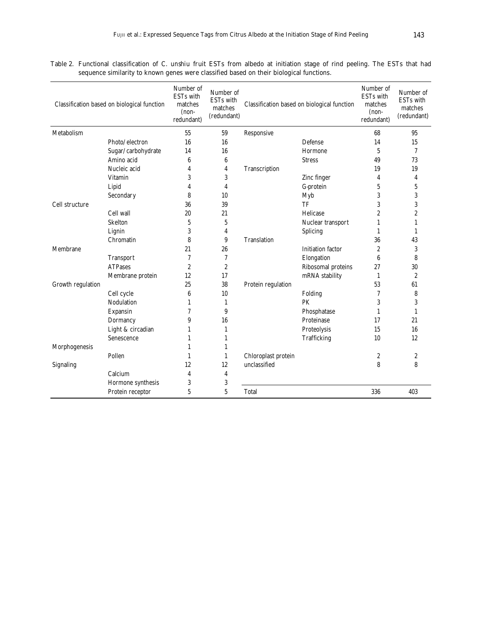Table 2. Functional classification of *C. unshiu* fruit ESTs from albedo at initiation stage of rind peeling. The ESTs that had sequence similarity to known genes were classified based on their biological functions.

|                             | Classification based on biological function | Number of<br><b>ESTs</b> with<br>matches<br>$(non-$<br>redundant) | Number of<br><b>ESTs</b> with<br>matches<br>(redundant) |                     | Classification based on biological function | Number of<br><b>ESTs</b> with<br>matches<br>$(non-$<br>redundant) | Number of<br><b>ESTs</b> with<br>matches<br>(redundant) |
|-----------------------------|---------------------------------------------|-------------------------------------------------------------------|---------------------------------------------------------|---------------------|---------------------------------------------|-------------------------------------------------------------------|---------------------------------------------------------|
| Metabolism                  |                                             | 55                                                                | 59                                                      | Responsive          |                                             | 68                                                                | 95                                                      |
|                             | Photo/electron                              | 16                                                                | 16                                                      |                     | Defense                                     | 14                                                                | 15                                                      |
|                             | Sugar/carbohydrate                          | 14                                                                | 16                                                      |                     | Hormone                                     | $5\phantom{.0}$                                                   | $\overline{7}$                                          |
|                             | Amino acid                                  | 6                                                                 | 6                                                       |                     | <b>Stress</b>                               | 49                                                                | 73                                                      |
|                             | Nucleic acid                                | 4                                                                 | 4                                                       | Transcription       |                                             | 19                                                                | 19                                                      |
|                             | Vitamin                                     | 3                                                                 | 3                                                       |                     | Zinc finger                                 | 4                                                                 | $\overline{\mathbf{4}}$                                 |
|                             | Lipid                                       | 4                                                                 | 4                                                       |                     | G-protein                                   | 5                                                                 | 5                                                       |
|                             | Secondary                                   | 8                                                                 | 10                                                      |                     | Myb                                         | 3                                                                 | 3                                                       |
| Cell structure<br>Cell wall |                                             | 36                                                                | 39                                                      |                     | TF                                          | 3                                                                 | 3                                                       |
|                             |                                             | 20                                                                | 21                                                      |                     | Helicase                                    | 2                                                                 | $\overline{2}$                                          |
|                             | <b>Skelton</b>                              | 5                                                                 | $\sqrt{5}$                                              |                     | Nuclear transport                           | 1                                                                 | 1                                                       |
|                             | Lignin                                      | 3                                                                 | 4                                                       |                     | Splicing                                    | 1                                                                 | 1                                                       |
|                             | Chromatin                                   | 8                                                                 | 9                                                       | <b>Translation</b>  |                                             | 36                                                                | 43                                                      |
| Membrane                    |                                             | 21                                                                | 26                                                      |                     | <b>Initiation</b> factor                    | $\boldsymbol{2}$                                                  | 3                                                       |
|                             | <b>Transport</b>                            | 7                                                                 | 7                                                       |                     | Elongation                                  | 6                                                                 | 8                                                       |
|                             | <b>ATPases</b>                              | $\boldsymbol{2}$                                                  | $\boldsymbol{2}$                                        |                     | Ribosomal proteins                          | 27                                                                | 30                                                      |
|                             | Membrane protein                            | 12                                                                | 17                                                      |                     | mRNA stability                              | $\mathbf{1}$                                                      | $\boldsymbol{2}$                                        |
| Growth regulation           |                                             | 25                                                                | 38                                                      | Protein regulation  |                                             | 53                                                                | 61                                                      |
|                             | Cell cycle                                  | 6                                                                 | 10                                                      |                     | Folding                                     | 7                                                                 | 8                                                       |
|                             | Nodulation                                  | 1                                                                 | $\mathbf{1}$                                            |                     | PK                                          | 3                                                                 | 3                                                       |
|                             | Expansin                                    | 7                                                                 | 9                                                       |                     | Phosphatase                                 | 1                                                                 | $\mathbf{1}$                                            |
|                             | Dormancy                                    | 9                                                                 | 16                                                      |                     | Proteinase                                  | 17                                                                | 21                                                      |
|                             | Light & circadian                           | 1                                                                 | $\mathbf{1}$                                            |                     | Proteolysis                                 | 15                                                                | 16                                                      |
|                             | Senescence                                  | 1                                                                 | $\mathbf{1}$                                            |                     | Trafficking                                 | 10                                                                | 12                                                      |
| Morphogenesis               |                                             | 1                                                                 | 1                                                       |                     |                                             |                                                                   |                                                         |
|                             | Pollen                                      | 1                                                                 | 1                                                       | Chloroplast protein |                                             | 2                                                                 | $\boldsymbol{2}$                                        |
| Signaling                   |                                             | 12                                                                | 12                                                      | unclassified        |                                             | 8                                                                 | 8                                                       |
|                             | Calcium                                     | 4                                                                 | $\overline{4}$                                          |                     |                                             |                                                                   |                                                         |
|                             | Hormone synthesis                           | 3                                                                 | $\sqrt{3}$                                              |                     |                                             |                                                                   |                                                         |
|                             | Protein receptor                            | 5                                                                 | 5                                                       | Total               |                                             | 336                                                               | 403                                                     |